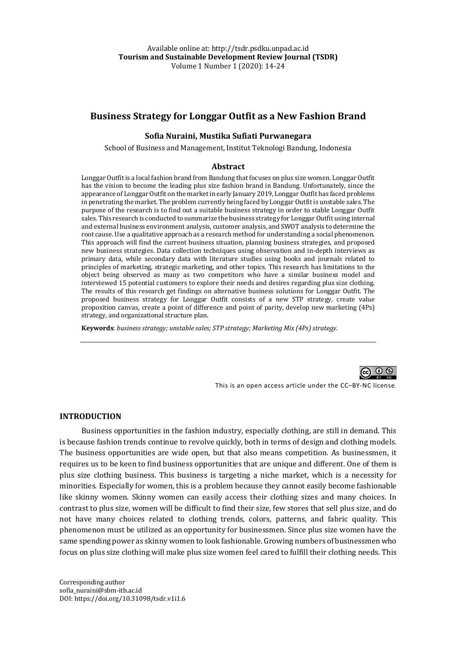# **Business Strategy for Longgar Outfit as a New Fashion Brand**

#### **Sofia Nuraini, Mustika Sufiati Purwanegara**

School of Business and Management, Institut Teknologi Bandung, Indonesia

#### **Abstract**

Longgar Outfit is a local fashion brand from Bandung that focuses on plus size women. Longgar Outfit has the vision to become the leading plus size fashion brand in Bandung. Unfortunately, since the appearance of Longgar Outfit on the market in early January 2019, Longgar Outfit has faced problems in penetrating the market. The problem currently being faced by Longgar Outfit is unstable sales. The purpose of the research is to find out a suitable business strategy in order to stable Longgar Outfit sales. This research is conducted to summarize the business strategy for Longgar Outfit using internal and external business environment analysis, customer analysis, and SWOT analysis to determine the root cause. Use a qualitative approach as a research method for understanding a social phenomenon. This approach will find the current business situation, planning business strategies, and proposed new business strategies. Data collection techniques using observation and in-depth interviews as primary data, while secondary data with literature studies using books and journals related to principles of marketing, strategic marketing, and other topics. This research has limitations to the object being observed as many as two competitors who have a similar business model and interviewed 15 potential customers to explore their needs and desires regarding plus size clothing. The results of this research get findings on alternative business solutions for Longgar Outfit. The proposed business strategy for Longgar Outfit consists of a new STP strategy, create value proposition canvas, create a point of difference and point of parity, develop new marketing  $(4P<sub>S</sub>)$ strategy, and organizational structure plan.

Keywords: business strategy; unstable sales; STP strategy; Marketing Mix (4Ps) strategy.



This is an open access article under the CC–BY-NC license.

### **INTRODUCTION**

Business opportunities in the fashion industry, especially clothing, are still in demand. This is because fashion trends continue to revolve quickly, both in terms of design and clothing models. The business opportunities are wide open, but that also means competition. As businessmen, it requires us to be keen to find business opportunities that are unique and different. One of them is plus size clothing business. This business is targeting a niche market, which is a necessity for minorities. Especially for women, this is a problem because they cannot easily become fashionable like skinny women. Skinny women can easily access their clothing sizes and many choices. In contrast to plus size, women will be difficult to find their size, few stores that sell plus size, and do not have many choices related to clothing trends, colors, patterns, and fabric quality. This phenomenon must be utilized as an opportunity for businessmen. Since plus size women have the same spending power as skinny women to look fashionable. Growing numbers of businessmen who focus on plus size clothing will make plus size women feel cared to fulfill their clothing needs. This

Corresponding author sofia\_nuraini@sbm-itb.ac.id DOI: https://doi.org/10.31098/tsdr.v1i1.6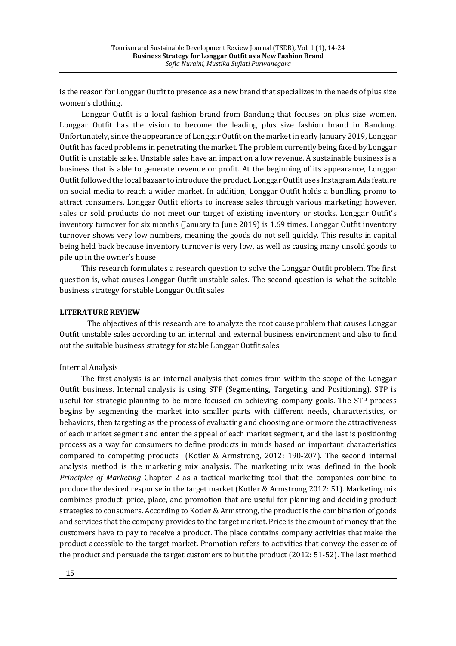is the reason for Longgar Outfit to presence as a new brand that specializes in the needs of plus size women's clothing.

Longgar Outfit is a local fashion brand from Bandung that focuses on plus size women. Longgar Outfit has the vision to become the leading plus size fashion brand in Bandung. Unfortunately, since the appearance of Longgar Outfit on the market in early January 2019, Longgar Outfit has faced problems in penetrating the market. The problem currently being faced by Longgar Outfit is unstable sales. Unstable sales have an impact on a low revenue. A sustainable business is a business that is able to generate revenue or profit. At the beginning of its appearance, Longgar Outfit followed the local bazaar to introduce the product. Longgar Outfit uses Instagram Ads feature on social media to reach a wider market. In addition, Longgar Outfit holds a bundling promo to attract consumers. Longgar Outfit efforts to increase sales through various marketing; however, sales or sold products do not meet our target of existing inventory or stocks. Longgar Outfit's inventory turnover for six months (January to June 2019) is  $1.69$  times. Longgar Outfit inventory turnover shows very low numbers, meaning the goods do not sell quickly. This results in capital being held back because inventory turnover is very low, as well as causing many unsold goods to pile up in the owner's house.

This research formulates a research question to solve the Longgar Outfit problem. The first question is, what causes Longgar Outfit unstable sales. The second question is, what the suitable business strategy for stable Longgar Outfit sales.

#### **LITERATURE REVIEW**

The objectives of this research are to analyze the root cause problem that causes Longgar Outfit unstable sales according to an internal and external business environment and also to find out the suitable business strategy for stable Longgar Outfit sales.

#### Internal Analysis

The first analysis is an internal analysis that comes from within the scope of the Longgar Outfit business. Internal analysis is using STP (Segmenting, Targeting, and Positioning). STP is useful for strategic planning to be more focused on achieving company goals. The STP process begins by segmenting the market into smaller parts with different needs, characteristics, or behaviors, then targeting as the process of evaluating and choosing one or more the attractiveness of each market segment and enter the appeal of each market segment, and the last is positioning process as a way for consumers to define products in minds based on important characteristics compared to competing products (Kotler & Armstrong, 2012: 190-207). The second internal analysis method is the marketing mix analysis. The marketing mix was defined in the book *Principles of Marketing* Chapter 2 as a tactical marketing tool that the companies combine to produce the desired response in the target market (Kotler & Armstrong 2012: 51). Marketing mix combines product, price, place, and promotion that are useful for planning and deciding product strategies to consumers. According to Kotler & Armstrong, the product is the combination of goods and services that the company provides to the target market. Price is the amount of money that the customers have to pay to receive a product. The place contains company activities that make the product accessible to the target market. Promotion refers to activities that convey the essence of the product and persuade the target customers to but the product  $(2012: 51-52)$ . The last method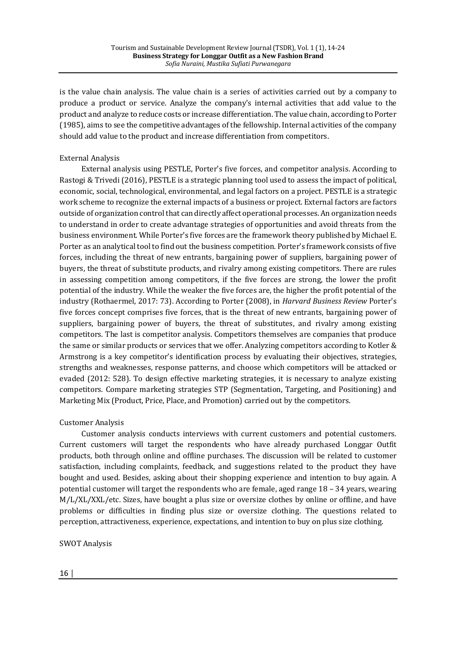is the value chain analysis. The value chain is a series of activities carried out by a company to produce a product or service. Analyze the company's internal activities that add value to the product and analyze to reduce costs or increase differentiation. The value chain, according to Porter (1985), aims to see the competitive advantages of the fellowship. Internal activities of the company should add value to the product and increase differentiation from competitors.

## External Analysis

External analysis using PESTLE, Porter's five forces, and competitor analysis. According to Rastogi & Trivedi (2016), PESTLE is a strategic planning tool used to assess the impact of political, economic, social, technological, environmental, and legal factors on a project. PESTLE is a strategic work scheme to recognize the external impacts of a business or project. External factors are factors outside of organization control that can directly affect operational processes. An organization needs to understand in order to create advantage strategies of opportunities and avoid threats from the business environment. While Porter's five forces are the framework theory published by Michael E. Porter as an analytical tool to find out the business competition. Porter's framework consists of five forces, including the threat of new entrants, bargaining power of suppliers, bargaining power of buyers, the threat of substitute products, and rivalry among existing competitors. There are rules in assessing competition among competitors, if the five forces are strong, the lower the profit potential of the industry. While the weaker the five forces are, the higher the profit potential of the industry (Rothaermel, 2017: 73). According to Porter (2008), in *Harvard Business Review* Porter's five forces concept comprises five forces, that is the threat of new entrants, bargaining power of suppliers, bargaining power of buyers, the threat of substitutes, and rivalry among existing competitors. The last is competitor analysis. Competitors themselves are companies that produce the same or similar products or services that we offer. Analyzing competitors according to Kotler  $\&$ Armstrong is a key competitor's identification process by evaluating their objectives, strategies, strengths and weaknesses, response patterns, and choose which competitors will be attacked or evaded (2012: 528). To design effective marketing strategies, it is necessary to analyze existing competitors. Compare marketing strategies STP (Segmentation, Targeting, and Positioning) and Marketing Mix (Product, Price, Place, and Promotion) carried out by the competitors.

### **Customer Analysis**

Customer analysis conducts interviews with current customers and potential customers. Current customers will target the respondents who have already purchased Longgar Outfit products, both through online and offline purchases. The discussion will be related to customer satisfaction, including complaints, feedback, and suggestions related to the product they have bought and used. Besides, asking about their shopping experience and intention to buy again. A potential customer will target the respondents who are female, aged range  $18 - 34$  years, wearing  $M/L/XL/XXL/etc.$  Sizes, have bought a plus size or oversize clothes by online or offline, and have problems or difficulties in finding plus size or oversize clothing. The questions related to perception, attractiveness, experience, expectations, and intention to buy on plus size clothing.

### SWOT Analysis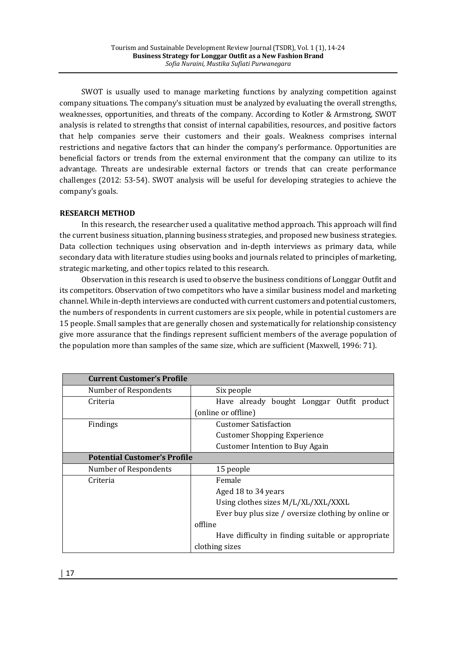SWOT is usually used to manage marketing functions by analyzing competition against company situations. The company's situation must be analyzed by evaluating the overall strengths, weaknesses, opportunities, and threats of the company. According to Kotler & Armstrong, SWOT analysis is related to strengths that consist of internal capabilities, resources, and positive factors that help companies serve their customers and their goals. Weakness comprises internal restrictions and negative factors that can hinder the company's performance. Opportunities are beneficial factors or trends from the external environment that the company can utilize to its advantage. Threats are undesirable external factors or trends that can create performance challenges (2012: 53-54). SWOT analysis will be useful for developing strategies to achieve the company's goals.

# **RESEARCH METHOD**

In this research, the researcher used a qualitative method approach. This approach will find the current business situation, planning business strategies, and proposed new business strategies. Data collection techniques using observation and in-depth interviews as primary data, while secondary data with literature studies using books and journals related to principles of marketing, strategic marketing, and other topics related to this research.

Observation in this research is used to observe the business conditions of Longgar Outfit and its competitors. Observation of two competitors who have a similar business model and marketing channel. While in-depth interviews are conducted with current customers and potential customers, the numbers of respondents in current customers are six people, while in potential customers are 15 people. Small samples that are generally chosen and systematically for relationship consistency give more assurance that the findings represent sufficient members of the average population of the population more than samples of the same size, which are sufficient (Maxwell, 1996: 71).

| <b>Current Customer's Profile</b>   |                                                     |  |  |
|-------------------------------------|-----------------------------------------------------|--|--|
| Number of Respondents               | Six people                                          |  |  |
| Criteria                            | Have already bought Longgar Outfit product          |  |  |
|                                     | (online or offline)                                 |  |  |
| Findings                            | <b>Customer Satisfaction</b>                        |  |  |
|                                     | <b>Customer Shopping Experience</b>                 |  |  |
|                                     | <b>Customer Intention to Buy Again</b>              |  |  |
| <b>Potential Customer's Profile</b> |                                                     |  |  |
| Number of Respondents               | 15 people                                           |  |  |
| Criteria                            | Female                                              |  |  |
|                                     | Aged 18 to 34 years                                 |  |  |
|                                     | Using clothes sizes M/L/XL/XXL/XXXL                 |  |  |
|                                     | Ever buy plus size / oversize clothing by online or |  |  |
|                                     | offline                                             |  |  |
|                                     | Have difficulty in finding suitable or appropriate  |  |  |
|                                     | clothing sizes                                      |  |  |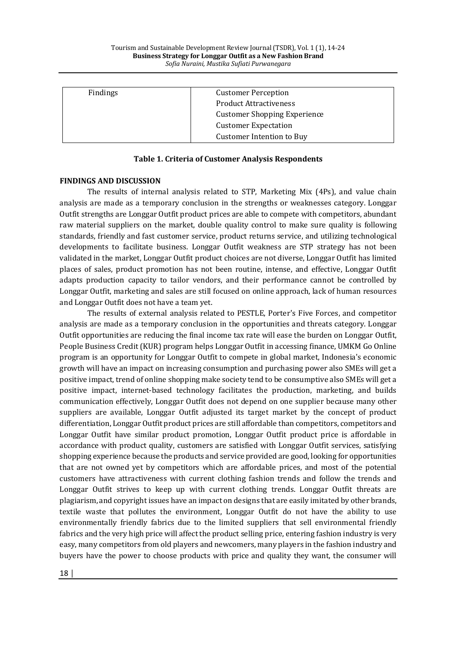| Findings | <b>Customer Perception</b>          |
|----------|-------------------------------------|
|          | <b>Product Attractiveness</b>       |
|          | <b>Customer Shopping Experience</b> |
|          | <b>Customer Expectation</b>         |
|          | <b>Customer Intention to Buy</b>    |

### **Table 1. Criteria of Customer Analysis Respondents**

#### **FINDINGS AND DISCUSSION**

The results of internal analysis related to STP, Marketing Mix (4Ps), and value chain analysis are made as a temporary conclusion in the strengths or weaknesses category. Longgar Outfit strengths are Longgar Outfit product prices are able to compete with competitors, abundant raw material suppliers on the market, double quality control to make sure quality is following standards, friendly and fast customer service, product returns service, and utilizing technological developments to facilitate business. Longgar Outfit weakness are STP strategy has not been validated in the market, Longgar Outfit product choices are not diverse, Longgar Outfit has limited places of sales, product promotion has not been routine, intense, and effective, Longgar Outfit adapts production capacity to tailor vendors, and their performance cannot be controlled by Longgar Outfit, marketing and sales are still focused on online approach, lack of human resources and Longgar Outfit does not have a team yet.

The results of external analysis related to PESTLE, Porter's Five Forces, and competitor analysis are made as a temporary conclusion in the opportunities and threats category. Longgar Outfit opportunities are reducing the final income tax rate will ease the burden on Longgar Outfit, People Business Credit (KUR) program helps Longgar Outfit in accessing finance, UMKM Go Online program is an opportunity for Longgar Outfit to compete in global market, Indonesia's economic growth will have an impact on increasing consumption and purchasing power also SMEs will get a positive impact, trend of online shopping make society tend to be consumptive also SMEs will get a positive impact, internet-based technology facilitates the production, marketing, and builds communication effectively, Longgar Outfit does not depend on one supplier because many other suppliers are available, Longgar Outfit adjusted its target market by the concept of product differentiation, Longgar Outfit product prices are still affordable than competitors, competitors and Longgar Outfit have similar product promotion, Longgar Outfit product price is affordable in accordance with product quality, customers are satisfied with Longgar Outfit services, satisfying shopping experience because the products and service provided are good, looking for opportunities that are not owned yet by competitors which are affordable prices, and most of the potential customers have attractiveness with current clothing fashion trends and follow the trends and Longgar Outfit strives to keep up with current clothing trends. Longgar Outfit threats are plagiarism, and copyright issues have an impact on designs that are easily imitated by other brands, textile waste that pollutes the environment, Longgar Outfit do not have the ability to use environmentally friendly fabrics due to the limited suppliers that sell environmental friendly fabrics and the very high price will affect the product selling price, entering fashion industry is very easy, many competitors from old players and newcomers, many players in the fashion industry and buyers have the power to choose products with price and quality they want, the consumer will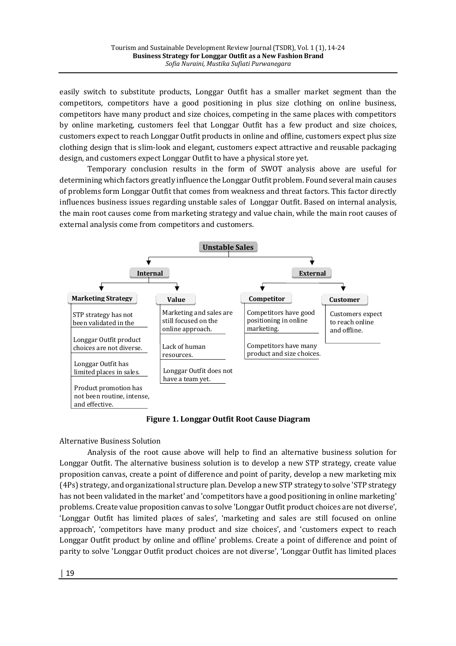easily switch to substitute products, Longgar Outfit has a smaller market segment than the competitors, competitors have a good positioning in plus size clothing on online business, competitors have many product and size choices, competing in the same places with competitors by online marketing, customers feel that Longgar Outfit has a few product and size choices, customers expect to reach Longgar Outfit products in online and offline, customers expect plus size clothing design that is slim-look and elegant, customers expect attractive and reusable packaging design, and customers expect Longgar Outfit to have a physical store yet.

Temporary conclusion results in the form of SWOT analysis above are useful for determining which factors greatly influence the Longgar Outfit problem. Found several main causes of problems form Longgar Outfit that comes from weakness and threat factors. This factor directly influences business issues regarding unstable sales of Longgar Outfit. Based on internal analysis, the main root causes come from marketing strategy and value chain, while the main root causes of external analysis come from competitors and customers.



**Figure 1. Longgar Outfit Root Cause Diagram**

Alternative Business Solution

Analysis of the root cause above will help to find an alternative business solution for Longgar Outfit. The alternative business solution is to develop a new STP strategy, create value proposition canvas, create a point of difference and point of parity, develop a new marketing mix (4Ps) strategy, and organizational structure plan. Develop a new STP strategy to solve 'STP strategy has not been validated in the market' and 'competitors have a good positioning in online marketing' problems. Create value proposition canvas to solve 'Longgar Outfit product choices are not diverse', 'Longgar Outfit has limited places of sales', 'marketing and sales are still focused on online approach', 'competitors have many product and size choices', and 'customers expect to reach Longgar Outfit product by online and offline' problems. Create a point of difference and point of parity to solve 'Longgar Outfit product choices are not diverse', 'Longgar Outfit has limited places

│ 19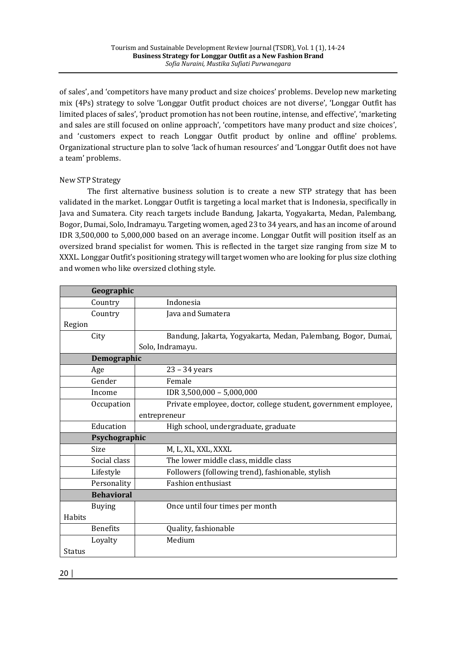of sales', and 'competitors have many product and size choices' problems. Develop new marketing mix (4Ps) strategy to solve 'Longgar Outfit product choices are not diverse', 'Longgar Outfit has limited places of sales', 'product promotion has not been routine, intense, and effective', 'marketing and sales are still focused on online approach', 'competitors have many product and size choices', and 'customers expect to reach Longgar Outfit product by online and offline' problems. Organizational structure plan to solve 'lack of human resources' and 'Longgar Outfit does not have a team' problems.

# New STP Strategy

The first alternative business solution is to create a new STP strategy that has been validated in the market. Longgar Outfit is targeting a local market that is Indonesia, specifically in Java and Sumatera. City reach targets include Bandung, Jakarta, Yogyakarta, Medan, Palembang, Bogor, Dumai, Solo, Indramayu. Targeting women, aged 23 to 34 years, and has an income of around IDR 3,500,000 to 5,000,000 based on an average income. Longgar Outfit will position itself as an oversized brand specialist for women. This is reflected in the target size ranging from size M to XXXL. Longgar Outfit's positioning strategy will target women who are looking for plus size clothing and women who like oversized clothing style.

| Geographic        |                                                                 |
|-------------------|-----------------------------------------------------------------|
| Country           | Indonesia                                                       |
| Country           | Java and Sumatera                                               |
| Region            |                                                                 |
| City              | Bandung, Jakarta, Yogyakarta, Medan, Palembang, Bogor, Dumai,   |
|                   | Solo, Indramayu.                                                |
| Demographic       |                                                                 |
| Age               | $23 - 34$ years                                                 |
| Gender            | Female                                                          |
| Income            | IDR 3,500,000 - 5,000,000                                       |
| Occupation        | Private employee, doctor, college student, government employee, |
|                   | entrepreneur                                                    |
| Education         | High school, undergraduate, graduate                            |
| Psychographic     |                                                                 |
| Size              | M, L, XL, XXL, XXXL                                             |
| Social class      | The lower middle class, middle class                            |
| Lifestyle         | Followers (following trend), fashionable, stylish               |
| Personality       | <b>Fashion enthusiast</b>                                       |
| <b>Behavioral</b> |                                                                 |
| <b>Buying</b>     | Once until four times per month                                 |
| Habits            |                                                                 |
| <b>Benefits</b>   | Quality, fashionable                                            |
| Loyalty           | Medium                                                          |
| Status            |                                                                 |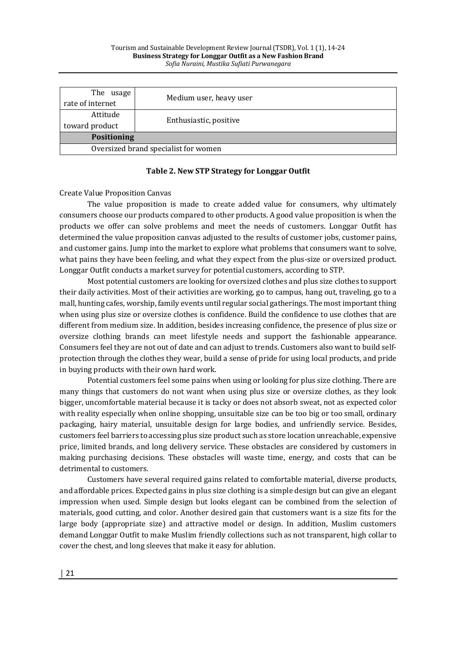| The usage<br>rate of internet        | Medium user, heavy user |  |  |
|--------------------------------------|-------------------------|--|--|
| Attitude<br>toward product           | Enthusiastic, positive  |  |  |
| <b>Positioning</b>                   |                         |  |  |
| Oversized brand specialist for women |                         |  |  |

## Table 2. New STP Strategy for Longgar Outfit

### **Create Value Proposition Canvas**

The value proposition is made to create added value for consumers, why ultimately consumers choose our products compared to other products. A good value proposition is when the products we offer can solve problems and meet the needs of customers. Longgar Outfit has determined the value proposition canvas adjusted to the results of customer jobs, customer pains, and customer gains. Jump into the market to explore what problems that consumers want to solve, what pains they have been feeling, and what they expect from the plus-size or oversized product. Longgar Outfit conducts a market survey for potential customers, according to STP.

Most potential customers are looking for oversized clothes and plus size clothes to support their daily activities. Most of their activities are working, go to campus, hang out, traveling, go to a mall, hunting cafes, worship, family events until regular social gatherings. The most important thing when using plus size or oversize clothes is confidence. Build the confidence to use clothes that are different from medium size. In addition, besides increasing confidence, the presence of plus size or oversize clothing brands can meet lifestyle needs and support the fashionable appearance. Consumers feel they are not out of date and can adjust to trends. Customers also want to build selfprotection through the clothes they wear, build a sense of pride for using local products, and pride in buying products with their own hard work.

Potential customers feel some pains when using or looking for plus size clothing. There are many things that customers do not want when using plus size or oversize clothes, as they look bigger, uncomfortable material because it is tacky or does not absorb sweat, not as expected color with reality especially when online shopping, unsuitable size can be too big or too small, ordinary packaging, hairy material, unsuitable design for large bodies, and unfriendly service. Besides, customers feel barriers to accessing plus size product such as store location unreachable, expensive price, limited brands, and long delivery service. These obstacles are considered by customers in making purchasing decisions. These obstacles will waste time, energy, and costs that can be detrimental to customers.

Customers have several required gains related to comfortable material, diverse products, and affordable prices. Expected gains in plus size clothing is a simple design but can give an elegant impression when used. Simple design but looks elegant can be combined from the selection of materials, good cutting, and color. Another desired gain that customers want is a size fits for the large body (appropriate size) and attractive model or design. In addition, Muslim customers demand Longgar Outfit to make Muslim friendly collections such as not transparent, high collar to cover the chest, and long sleeves that make it easy for ablution.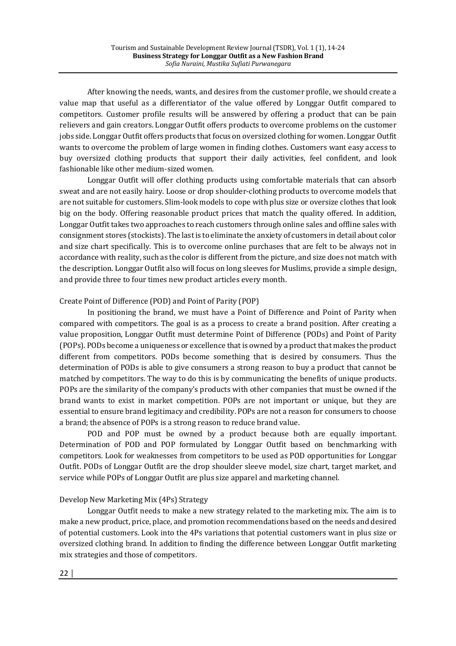After knowing the needs, wants, and desires from the customer profile, we should create a value map that useful as a differentiator of the value offered by Longgar Outfit compared to competitors. Customer profile results will be answered by offering a product that can be pain relievers and gain creators. Longgar Outfit offers products to overcome problems on the customer jobs side. Longgar Outfit offers products that focus on oversized clothing for women. Longgar Outfit wants to overcome the problem of large women in finding clothes. Customers want easy access to buy oversized clothing products that support their daily activities, feel confident, and look fashionable like other medium-sized women.

Longgar Outfit will offer clothing products using comfortable materials that can absorb sweat and are not easily hairy. Loose or drop shoulder-clothing products to overcome models that are not suitable for customers. Slim-look models to cope with plus size or oversize clothes that look big on the body. Offering reasonable product prices that match the quality offered. In addition, Longgar Outfit takes two approaches to reach customers through online sales and offline sales with consignment stores (stockists). The last is to eliminate the anxiety of customers in detail about color and size chart specifically. This is to overcome online purchases that are felt to be always not in accordance with reality, such as the color is different from the picture, and size does not match with the description. Longgar Outfit also will focus on long sleeves for Muslims, provide a simple design, and provide three to four times new product articles every month.

## Create Point of Difference (POD) and Point of Parity (POP)

In positioning the brand, we must have a Point of Difference and Point of Parity when compared with competitors. The goal is as a process to create a brand position. After creating a value proposition, Longgar Outfit must determine Point of Difference (PODs) and Point of Parity (POPs). PODs become a uniqueness or excellence that is owned by a product that makes the product different from competitors. PODs become something that is desired by consumers. Thus the determination of PODs is able to give consumers a strong reason to buy a product that cannot be matched by competitors. The way to do this is by communicating the benefits of unique products. POPs are the similarity of the company's products with other companies that must be owned if the brand wants to exist in market competition. POPs are not important or unique, but they are essential to ensure brand legitimacy and credibility. POPs are not a reason for consumers to choose a brand; the absence of POPs is a strong reason to reduce brand value.

POD and POP must be owned by a product because both are equally important. Determination of POD and POP formulated by Longgar Outfit based on benchmarking with competitors. Look for weaknesses from competitors to be used as POD opportunities for Longgar Outfit. PODs of Longgar Outfit are the drop shoulder sleeve model, size chart, target market, and service while POPs of Longgar Outfit are plus size apparel and marketing channel.

# Develop New Marketing Mix (4Ps) Strategy

Longgar Outfit needs to make a new strategy related to the marketing mix. The aim is to make a new product, price, place, and promotion recommendations based on the needs and desired of potential customers. Look into the 4Ps variations that potential customers want in plus size or oversized clothing brand. In addition to finding the difference between Longgar Outfit marketing mix strategies and those of competitors.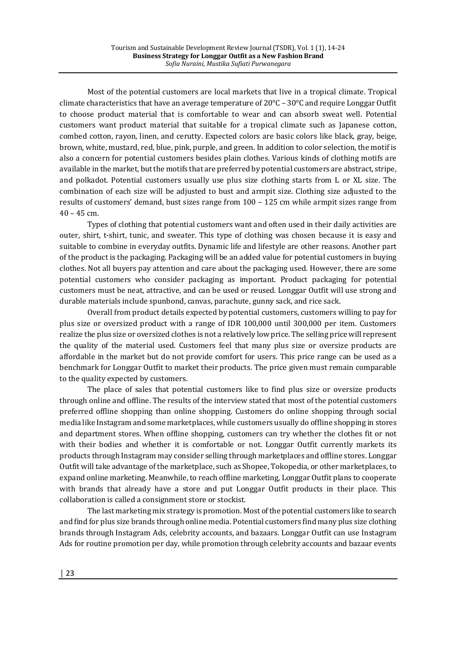Most of the potential customers are local markets that live in a tropical climate. Tropical climate characteristics that have an average temperature of  $20^{\circ}C - 30^{\circ}C$  and require Longgar Outfit to choose product material that is comfortable to wear and can absorb sweat well. Potential customers want product material that suitable for a tropical climate such as Japanese cotton, combed cotton, rayon, linen, and cerutty. Expected colors are basic colors like black, gray, beige, brown, white, mustard, red, blue, pink, purple, and green. In addition to color selection, the motif is also a concern for potential customers besides plain clothes. Various kinds of clothing motifs are available in the market, but the motifs that are preferred by potential customers are abstract, stripe, and polkadot. Potential customers usually use plus size clothing starts from L or XL size. The combination of each size will be adjusted to bust and armpit size. Clothing size adjusted to the results of customers' demand, bust sizes range from  $100 - 125$  cm while armpit sizes range from  $40 - 45$  cm.

Types of clothing that potential customers want and often used in their daily activities are outer, shirt, t-shirt, tunic, and sweater. This type of clothing was chosen because it is easy and suitable to combine in everyday outfits. Dynamic life and lifestyle are other reasons. Another part of the product is the packaging. Packaging will be an added value for potential customers in buying clothes. Not all buyers pay attention and care about the packaging used. However, there are some potential customers who consider packaging as important. Product packaging for potential customers must be neat, attractive, and can be used or reused. Longgar Outfit will use strong and durable materials include spunbond, canvas, parachute, gunny sack, and rice sack.

Overall from product details expected by potential customers, customers willing to pay for plus size or oversized product with a range of IDR 100,000 until 300,000 per item. Customers realize the plus size or oversized clothes is not a relatively low price. The selling price will represent the quality of the material used. Customers feel that many plus size or oversize products are affordable in the market but do not provide comfort for users. This price range can be used as a benchmark for Longgar Outfit to market their products. The price given must remain comparable to the quality expected by customers.

The place of sales that potential customers like to find plus size or oversize products through online and offline. The results of the interview stated that most of the potential customers preferred offline shopping than online shopping. Customers do online shopping through social media like Instagram and some marketplaces, while customers usually do offline shopping in stores and department stores. When offline shopping, customers can try whether the clothes fit or not with their bodies and whether it is comfortable or not. Longgar Outfit currently markets its products through Instagram may consider selling through marketplaces and offline stores. Longgar Outfit will take advantage of the marketplace, such as Shopee, Tokopedia, or other marketplaces, to expand online marketing. Meanwhile, to reach offline marketing, Longgar Outfit plans to cooperate with brands that already have a store and put Longgar Outfit products in their place. This collaboration is called a consignment store or stockist.

The last marketing mix strategy is promotion. Most of the potential customers like to search and find for plus size brands through online media. Potential customers find many plus size clothing brands through Instagram Ads, celebrity accounts, and bazaars. Longgar Outfit can use Instagram Ads for routine promotion per day, while promotion through celebrity accounts and bazaar events